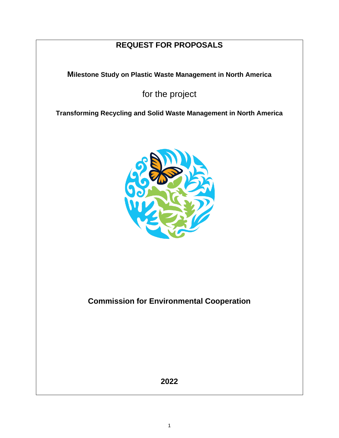# **REQUEST FOR PROPOSALS**

**Milestone Study on Plastic Waste Management in North America**

for the project

**Transforming Recycling and Solid Waste Management in North America**



**Commission for Environmental Cooperation**

**2022**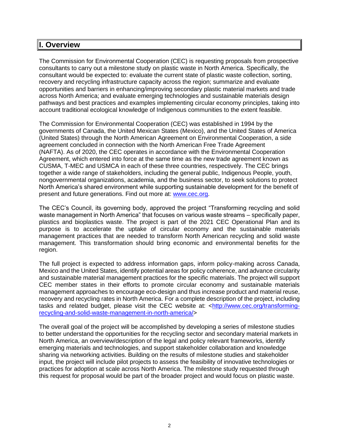## **I. Overview**

The Commission for Environmental Cooperation (CEC) is requesting proposals from prospective consultants to carry out a milestone study on plastic waste in North America. Specifically, the consultant would be expected to: evaluate the current state of plastic waste collection, sorting, recovery and recycling infrastructure capacity across the region; summarize and evaluate opportunities and barriers in enhancing/improving secondary plastic material markets and trade across North America; and evaluate emerging technologies and sustainable materials design pathways and best practices and examples implementing circular economy principles, taking into account traditional ecological knowledge of Indigenous communities to the extent feasible.

The Commission for Environmental Cooperation (CEC) was established in 1994 by the governments of Canada, the United Mexican States (Mexico), and the United States of America (United States) through the North American Agreement on Environmental Cooperation, a side agreement concluded in connection with the North American Free Trade Agreement (NAFTA). As of 2020, the CEC operates in accordance with the Environmental Cooperation Agreement, which entered into force at the same time as the new trade agreement known as CUSMA, T-MEC and USMCA in each of these three countries, respectively. The CEC brings together a wide range of stakeholders, including the general public, Indigenous People, youth, nongovernmental organizations, academia, and the business sector, to seek solutions to protect North America's shared environment while supporting sustainable development for the benefit of present and future generations. Find out more at: [www.cec.org.](http://www.cec.org/)

The CEC's Council, its governing body, approved the project "Transforming recycling and solid waste management in North America" that focuses on various waste streams – specifically paper, plastics and bioplastics waste. The project is part of the 2021 CEC Operational Plan and its purpose is to accelerate the uptake of circular economy and the sustainable materials management practices that are needed to transform North American recycling and solid waste management. This transformation should bring economic and environmental benefits for the region.

The full project is expected to address information gaps, inform policy-making across Canada, Mexico and the United States, identify potential areas for policy coherence, and advance circularity and sustainable material management practices for the specific materials. The project will support CEC member states in their efforts to promote circular economy and sustainable materials management approaches to encourage eco-design and thus increase product and material reuse, recovery and recycling rates in North America. For a complete description of the project, including tasks and related budget, please visit the CEC website at: [<http://www.cec.org/transforming](http://www.cec.org/transforming-recycling-and-solid-waste-management-in-north-america/)[recycling-and-solid-waste-management-in-north-america/>](http://www.cec.org/transforming-recycling-and-solid-waste-management-in-north-america/)

The overall goal of the project will be accomplished by developing a series of milestone studies to better understand the opportunities for the recycling sector and secondary material markets in North America, an overview/description of the legal and policy relevant frameworks, identify emerging materials and technologies, and support stakeholder collaboration and knowledge sharing via networking activities. Building on the results of milestone studies and stakeholder input, the project will include pilot projects to assess the feasibility of innovative technologies or practices for adoption at scale across North America. The milestone study requested through this request for proposal would be part of the broader project and would focus on plastic waste.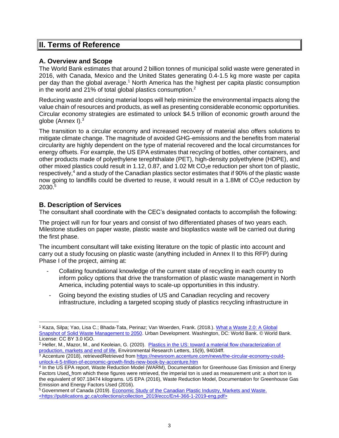## **II. Terms of Reference**

## **A. Overview and Scope**

The World Bank estimates that around 2 billion tonnes of municipal solid waste were generated in 2016, with Canada, Mexico and the United States generating 0.4-1.5 kg more waste per capita per day than the global average.<sup>1</sup> North America has the highest per capita plastic consumption in the world and 21% of total global plastics consumption.<sup>2</sup>

Reducing waste and closing material loops will help minimize the environmental impacts along the value chain of resources and products, as well as presenting considerable economic opportunities. Circular economy strategies are estimated to unlock \$4.5 trillion of economic growth around the globe (Annex I).<sup>3</sup>

The transition to a circular economy and increased recovery of material also offers solutions to mitigate climate change. The magnitude of avoided GHG-emissions and the benefits from material circularity are highly dependent on the type of material recovered and the local circumstances for energy offsets. For example, the US EPA estimates that recycling of bottles, other containers, and other products made of polyethylene terephthalate (PET), high-density polyethylene (HDPE), and other mixed plastics could result in 1.12, 0.87, and 1.02 Mt  $CO<sub>2</sub>e$  reduction per short ton of plastic, respectively,<sup>4</sup> and a study of the Canadian plastics sector estimates that if 90% of the plastic waste now going to landfills could be diverted to reuse, it would result in a 1.8Mt of  $CO<sub>2</sub>e$  reduction by 2030.<sup>5</sup>

## **B. Description of Services**

The consultant shall coordinate with the CEC's designated contacts to accomplish the following:

The project will run for four years and consist of two differentiated phases of two years each. Milestone studies on paper waste, plastic waste and bioplastics waste will be carried out during the first phase.

The incumbent consultant will take existing literature on the topic of plastic into account and carry out a study focusing on plastic waste (anything included in Annex II to this RFP) during Phase I of the project, aiming at:

- Collating foundational knowledge of the current state of recycling in each country to inform policy options that drive the transformation of plastic waste management in North America, including potential ways to scale-up opportunities in this industry.
- Going beyond the existing studies of US and Canadian recycling and recovery infrastructure, including a targeted scoping study of plastics recycling infrastructure in

<sup>&</sup>lt;sup>1</sup> Kaza, Silpa; Yao, Lisa C.; Bhada-Tata, Perinaz; Van Woerden, Frank. (2018.). What a Waste 2.0: A Global [Snapshot of Solid Waste Management to 2050.](file://///file2/projects/OP21-22%20P00%20Project%20Documents/5%20Recycling-Waste%20Mgt/Project%20Description/What%20a%20Waste%202.0:%20A%20Global%20Snapshot%20of%20Solid%20Waste%20Management%20to%202050) Urban Development. Washington, DC: World Bank. © World Bank. License: CC BY 3.0 IGO.

<sup>2</sup> Heller, M., Mazor, M., and Keoleian, G. (2020). [Plastics in the US: toward a material flow characterization of](https://iopscience.iop.org/article/10.1088/1748-9326/ab9e1e)  [production, markets and end of life.](https://iopscience.iop.org/article/10.1088/1748-9326/ab9e1e) Environmental Research Letters, 15(9), 94034ff.

<sup>&</sup>lt;sup>3</sup> Accenture (2018), retrievedRetrieved from [https://newsroom.accenture.com/news/the-circular-economy-could](https://newsroom.accenture.com/news/the-circular-economy-could-unlock-4-5-trillion-of-economic-growth-finds-new-book-by-accenture.htm)[unlock-4-5-trillion-of-economic-growth-finds-new-book-by-accenture.htm](https://newsroom.accenture.com/news/the-circular-economy-could-unlock-4-5-trillion-of-economic-growth-finds-new-book-by-accenture.htm)

<sup>4</sup> In the US EPA report, Waste Reduction Model (WARM), Documentation for Greenhouse Gas Emission and Energy Factors Used, from which these figures were retrieved, the imperial ton is used as measurement unit: a short ton is the equivalent of 907.18474 kilograms. US EPA (2016), Waste Reduction Model, Documentation for Greenhouse Gas Emission and Energy Factors Used (2016).

<sup>5</sup> Government of Canada (2019). [Economic Study of the Canadian Plastic Industry, Markets and Waste.](http://publications.gc.ca/collections/collection_2019/eccc/En4-366-1-2019-eng.pdf) <https://publications.gc.ca/collections/collection\_2019/eccc/En4-366-1-2019-eng.pdf>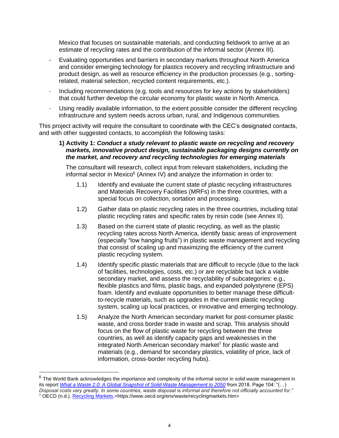Mexico that focuses on sustainable materials, and conducting fieldwork to arrive at an estimate of recycling rates and the contribution of the informal sector (Annex III).

- Evaluating opportunities and barriers in secondary markets throughout North America and consider emerging technology for plastics recovery and recycling infrastructure and product design, as well as resource efficiency in the production processes (e.g., sortingrelated, material selection, recycled content requirements, etc.).
- Including recommendations (e.g. tools and resources for key actions by stakeholders) that could further develop the circular economy for plastic waste in North America.
- Using readily available information, to the extent possible consider the different recycling infrastructure and system needs across urban, rural, and Indigenous communities.

This project activity will require the consultant to coordinate with the CEC's designated contacts, and with other suggested contacts, to accomplish the following tasks:

#### **1) Activity 1:** *Conduct a study relevant to plastic waste on recycling and recovery markets, innovative product design, sustainable packaging designs currently on the market, and recovery and recycling technologies for emerging materials*

 The consultant will research, collect input from relevant stakeholders, including the informal sector in Mexico $6$  (Annex IV) and analyze the information in order to:

- 1.1) Identify and evaluate the current state of plastic recycling infrastructures and Materials Recovery Facilities (MRFs) in the three countries, with a special focus on collection, sortation and processing.
- 1.2) Gather data on plastic recycling rates in the three countries, including total plastic recycling rates and specific rates by resin code (see Annex II).
- 1.3) Based on the current state of plastic recycling, as well as the plastic recycling rates across North America, identify basic areas of improvement (especially "low hanging fruits") in plastic waste management and recycling that consist of scaling up and maximizing the efficiency of the current plastic recycling system.
- 1.4) Identify specific plastic materials that are difficult to recycle (due to the lack of facilities, technologies, costs, etc.) or are recyclable but lack a viable secondary market, and assess the recyclability of subcategories: e.g., flexible plastics and films, plastic bags, and expanded polystyrene (EPS) foam. Identify and evaluate opportunities to better manage these difficultto-recycle materials, such as upgrades in the current plastic recycling system, scaling up local practices, or innovative and emerging technology.
- 1.5) Analyze the North American secondary market for post-consumer plastic waste, and cross border trade in waste and scrap. This analysis should focus on the flow of plastic waste for recycling between the three countries, as well as identify capacity gaps and weaknesses in the integrated North American secondary market<sup>7</sup> for plastic waste and materials (e.g., demand for secondary plastics, volatility of price, lack of information, cross-border recycling hubs).

 $6$  The World Bank acknowledges the importance and complexity of the informal sector in solid waste management in its report *[What a Waste 2.0: A Global Snapshot of Solid Waste Management to 2050](https://openknowledge.worldbank.org/handle/10986/30317)* from 2018. Page 104: "(…) *Disposal costs vary greatly. In some countries, waste disposal is informal and therefore not officially accounted for."* 

<sup>7</sup> OECD (n.d.). [Recycling Markets.](https://www.oecd.org/env/waste/recyclingmarkets.htm)<https://www.oecd.org/env/waste/recyclingmarkets.htm>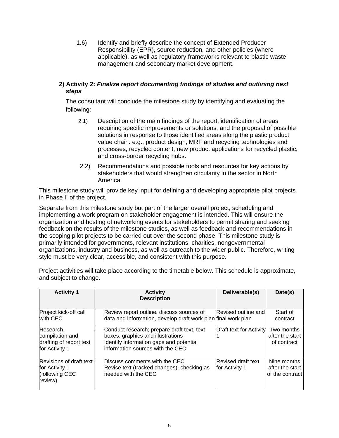1.6) Identify and briefly describe the concept of Extended Producer Responsibility (EPR), source reduction, and other policies (where applicable), as well as regulatory frameworks relevant to plastic waste management and secondary market development.

### **2) Activity 2:** *Finalize report documenting findings of studies and outlining next steps*

 The consultant will conclude the milestone study by identifying and evaluating the following:

- 2.1) Description of the main findings of the report, identification of areas requiring specific improvements or solutions, and the proposal of possible solutions in response to those identified areas along the plastic product value chain: e.g., product design, MRF and recycling technologies and processes, recycled content, new product applications for recycled plastic, and cross-border recycling hubs.
- 2.2) Recommendations and possible tools and resources for key actions by stakeholders that would strengthen circularity in the sector in North America.

This milestone study will provide key input for defining and developing appropriate pilot projects in Phase II of the project.

Separate from this milestone study but part of the larger overall project, scheduling and implementing a work program on stakeholder engagement is intended. This will ensure the organization and hosting of networking events for stakeholders to permit sharing and seeking feedback on the results of the milestone studies, as well as feedback and recommendations in the scoping pilot projects to be carried out over the second phase. This milestone study is primarily intended for governments, relevant institutions, charities, nongovernmental organizations, industry and business, as well as outreach to the wider public. Therefore, writing style must be very clear, accessible, and consistent with this purpose.

Project activities will take place according to the timetable below. This schedule is approximate, and subject to change.

| <b>Activity 1</b>                                                         | <b>Activity</b><br><b>Description</b>                                                                                                                          | Deliverable(s)                       | Date(s)                                           |
|---------------------------------------------------------------------------|----------------------------------------------------------------------------------------------------------------------------------------------------------------|--------------------------------------|---------------------------------------------------|
| Project kick-off call<br>with CEC                                         | Review report outline, discuss sources of<br>data and information, develop draft work plan final work plan                                                     | Revised outline and                  | Start of<br>contract                              |
| Research,<br>compilation and<br>drafting of report text<br>for Activity 1 | Conduct research; prepare draft text, text<br>boxes, graphics and illustrations<br>Identify information gaps and potential<br>information sources with the CEC | <b>Draft text for Activity</b>       | Two months<br>after the start<br>of contract      |
| Revisions of draft text  -<br>for Activity 1<br>(following CEC<br>review) | Discuss comments with the CEC<br>Revise text (tracked changes), checking as<br>needed with the CEC                                                             | Revised draft text<br>for Activity 1 | Nine months<br>after the start<br>of the contract |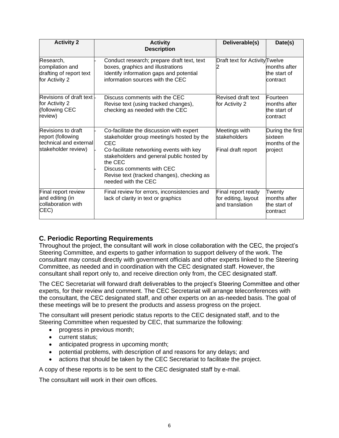| <b>Activity 2</b>                                                                        | <b>Activity</b><br><b>Description</b>                                                                                                                                                                                                                                                                     | Deliverable(s)                                               | Date(s)                                                 |
|------------------------------------------------------------------------------------------|-----------------------------------------------------------------------------------------------------------------------------------------------------------------------------------------------------------------------------------------------------------------------------------------------------------|--------------------------------------------------------------|---------------------------------------------------------|
| Research,<br>compilation and<br>drafting of report text<br>for Activity 2                | Conduct research; prepare draft text, text<br>boxes, graphics and illustrations<br>Identify information gaps and potential<br>information sources with the CEC                                                                                                                                            | Draft text for Activity Twelve                               | months after<br>the start of<br>contract                |
| Revisions of draft text -<br>for Activity 2<br>(following CEC<br>review)                 | Discuss comments with the CEC<br>Revise text (using tracked changes),<br>checking as needed with the CEC                                                                                                                                                                                                  | Revised draft text<br>for Activity 2                         | Fourteen<br>months after<br>the start of<br>contract    |
| Revisions to draft<br>report (following<br>technical and external<br>stakeholder review) | Co-facilitate the discussion with expert<br>stakeholder group meeting/s hosted by the<br><b>CEC</b><br>Co-facilitate networking events with key<br>stakeholders and general public hosted by<br>the CEC<br>Discuss comments with CEC<br>Revise text (tracked changes), checking as<br>needed with the CEC | Meetings with<br>stakeholders<br>Final draft report          | During the first<br>sixteen<br>months of the<br>project |
| Final report review<br>and editing (in<br>collaboration with<br>CEC)                     | Final review for errors, inconsistencies and<br>lack of clarity in text or graphics                                                                                                                                                                                                                       | Final report ready<br>for editing, layout<br>and translation | Twenty<br>months after<br>the start of<br>contract      |

## **C. Periodic Reporting Requirements**

Throughout the project, the consultant will work in close collaboration with the CEC, the project's Steering Committee, and experts to gather information to support delivery of the work. The consultant may consult directly with government officials and other experts linked to the Steering Committee, as needed and in coordination with the CEC designated staff. However, the consultant shall report only to, and receive direction only from, the CEC designated staff.

The CEC Secretariat will forward draft deliverables to the project's Steering Committee and other experts, for their review and comment. The CEC Secretariat will arrange teleconferences with the consultant, the CEC designated staff, and other experts on an as-needed basis. The goal of these meetings will be to present the products and assess progress on the project.

The consultant will present periodic status reports to the CEC designated staff, and to the Steering Committee when requested by CEC, that summarize the following:

- progress in previous month;
- current status;
- anticipated progress in upcoming month;
- potential problems, with description of and reasons for any delays; and
- actions that should be taken by the CEC Secretariat to facilitate the project.

A copy of these reports is to be sent to the CEC designated staff by e-mail.

The consultant will work in their own offices.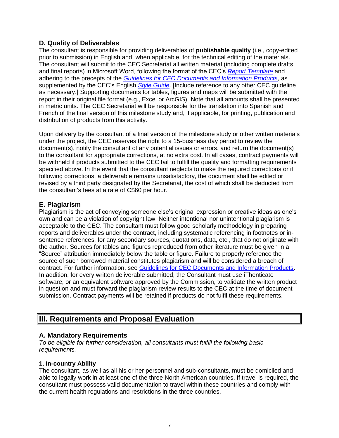## **D. Quality of Deliverables**

The consultant is responsible for providing deliverables of **publishable quality** (i.e., copy-edited prior to submission) in English and, when applicable, for the technical editing of the materials. The consultant will submit to the CEC Secretariat all written material (including complete drafts and final reports) in Microsoft Word, following the format of the CEC's *[Report Template](http://www.cec.org/about-us/opportunities/useful-documents)* and adhering to the precepts of the *[Guidelines for CEC Documents and Information Products](http://www.cec.org/about-us/opportunities/useful-documents)*, as supplemented by the CEC's English *[Style Guide](http://www.cec.org/about-us/opportunities/useful-documents)*. [Include reference to any other CEC guideline as necessary.] Supporting documents for tables, figures and maps will be submitted with the report in their original file format (e.g., Excel or ArcGIS). Note that all amounts shall be presented in metric units. The CEC Secretariat will be responsible for the translation into Spanish and French of the final version of this milestone study and, if applicable, for printing, publication and distribution of products from this activity.

Upon delivery by the consultant of a final version of the milestone study or other written materials under the project, the CEC reserves the right to a 15-business day period to review the document(s), notify the consultant of any potential issues or errors, and return the document(s) to the consultant for appropriate corrections, at no extra cost. In all cases, contract payments will be withheld if products submitted to the CEC fail to fulfill the quality and formatting requirements specified above. In the event that the consultant neglects to make the required corrections or if, following corrections, a deliverable remains unsatisfactory, the document shall be edited or revised by a third party designated by the Secretariat, the cost of which shall be deducted from the consultant's fees at a rate of C\$60 per hour.

## **E. Plagiarism**

Plagiarism is the act of conveying someone else's original expression or creative ideas as one's own and can be a violation of copyright law. Neither intentional nor unintentional plagiarism is acceptable to the CEC. The consultant must follow good scholarly methodology in preparing reports and deliverables under the contract, including systematic referencing in footnotes or insentence references, for any secondary sources, quotations, data, etc., that do not originate with the author. Sources for tables and figures reproduced from other literature must be given in a "Source" attribution immediately below the table or figure. Failure to properly reference the source of such borrowed material constitutes plagiarism and will be considered a breach of contract. For further information, see [Guidelines for CEC Documents and Information Products.](http://www.cec.org/about-us/opportunities/useful-documents) In addition, for every written deliverable submitted, the Consultant must use iThenticate software, or an equivalent software approved by the Commission, to validate the written product in question and must forward the plagiarism review results to the CEC at the time of document submission. Contract payments will be retained if products do not fulfil these requirements.

## **III. Requirements and Proposal Evaluation**

## **A. Mandatory Requirements**

*To be eligible for further consideration, all consultants must fulfill the following basic requirements.*

#### **1. In-country Ability**

The consultant, as well as all his or her personnel and sub-consultants, must be domiciled and able to legally work in at least one of the three North American countries. If travel is required, the consultant must possess valid documentation to travel within these countries and comply with the current health regulations and restrictions in the three countries.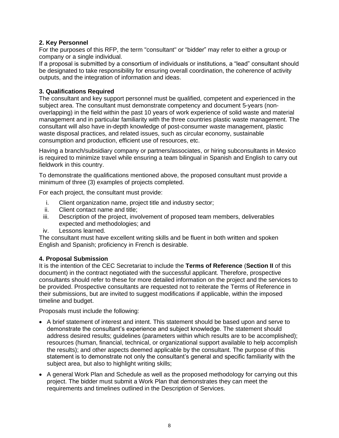## **2. Key Personnel**

For the purposes of this RFP, the term "consultant" or "bidder" may refer to either a group or company or a single individual.

If a proposal is submitted by a consortium of individuals or institutions, a "lead" consultant should be designated to take responsibility for ensuring overall coordination, the coherence of activity outputs, and the integration of information and ideas.

#### **3. Qualifications Required**

The consultant and key support personnel must be qualified, competent and experienced in the subject area. The consultant must demonstrate competency and document 5-years (nonoverlapping) in the field within the past 10 years of work experience of solid waste and material management and in particular familiarity with the three countries plastic waste management. The consultant will also have in-depth knowledge of post-consumer waste management, plastic waste disposal practices, and related issues, such as circular economy, sustainable consumption and production, efficient use of resources, etc.

Having a branch/subsidiary company or partners/associates, or hiring subconsultants in Mexico is required to minimize travel while ensuring a team bilingual in Spanish and English to carry out fieldwork in this country.

To demonstrate the qualifications mentioned above, the proposed consultant must provide a minimum of three (3) examples of projects completed.

For each project, the consultant must provide:

- i. Client organization name, project title and industry sector;
- ii. Client contact name and title;
- iii. Description of the project, involvement of proposed team members, deliverables expected and methodologies; and
- iv. Lessons learned.

The consultant must have excellent writing skills and be fluent in both written and spoken English and Spanish; proficiency in French is desirable.

#### **4. Proposal Submission**

It is the intention of the CEC Secretariat to include the **Terms of Reference** (**Section II** of this document) in the contract negotiated with the successful applicant. Therefore, prospective consultants should refer to these for more detailed information on the project and the services to be provided. Prospective consultants are requested not to reiterate the Terms of Reference in their submissions, but are invited to suggest modifications if applicable, within the imposed timeline and budget.

Proposals must include the following:

- A brief statement of interest and intent. This statement should be based upon and serve to demonstrate the consultant's experience and subject knowledge. The statement should address desired results; guidelines (parameters within which results are to be accomplished); resources (human, financial, technical, or organizational support available to help accomplish the results); and other aspects deemed applicable by the consultant. The purpose of this statement is to demonstrate not only the consultant's general and specific familiarity with the subject area, but also to highlight writing skills;
- A general Work Plan and Schedule as well as the proposed methodology for carrying out this project. The bidder must submit a Work Plan that demonstrates they can meet the requirements and timelines outlined in the Description of Services.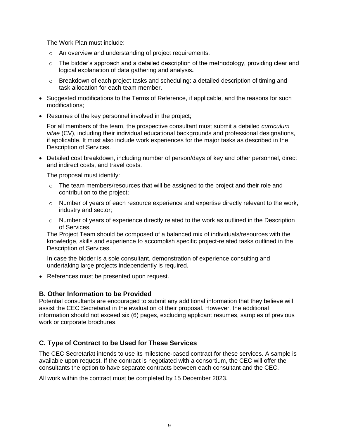The Work Plan must include:

- o An overview and understanding of project requirements.
- $\circ$  The bidder's approach and a detailed description of the methodology, providing clear and logical explanation of data gathering and analysis**.**
- $\circ$  Breakdown of each project tasks and scheduling: a detailed description of timing and task allocation for each team member.
- Suggested modifications to the Terms of Reference, if applicable, and the reasons for such modifications;
- Resumes of the key personnel involved in the project;

For all members of the team, the prospective consultant must submit a detailed *curriculum vitae* (CV), including their individual educational backgrounds and professional designations, if applicable. It must also include work experiences for the major tasks as described in the Description of Services.

• Detailed cost breakdown, including number of person/days of key and other personnel, direct and indirect costs, and travel costs.

The proposal must identify:

- $\circ$  The team members/resources that will be assigned to the project and their role and contribution to the project;
- $\circ$  Number of years of each resource experience and expertise directly relevant to the work, industry and sector;
- $\circ$  Number of years of experience directly related to the work as outlined in the Description of Services.

The Project Team should be composed of a balanced mix of individuals/resources with the knowledge, skills and experience to accomplish specific project-related tasks outlined in the Description of Services.

In case the bidder is a sole consultant, demonstration of experience consulting and undertaking large projects independently is required.

• References must be presented upon request.

## **B. Other Information to be Provided**

Potential consultants are encouraged to submit any additional information that they believe will assist the CEC Secretariat in the evaluation of their proposal. However, the additional information should not exceed six (6) pages, excluding applicant resumes, samples of previous work or corporate brochures.

## **C. Type of Contract to be Used for These Services**

The CEC Secretariat intends to use its milestone-based contract for these services. A sample is available upon request. If the contract is negotiated with a consortium, the CEC will offer the consultants the option to have separate contracts between each consultant and the CEC.

All work within the contract must be completed by 15 December 2023.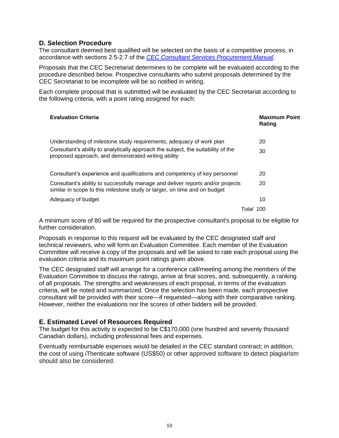## **D. Selection Procedure**

The consultant deemed best qualified will be selected on the basis of a competitive process, in accordance with sections 2.5-2.7 of the *[CEC Consultant Services Procurement Manual](http://www.cec.org/wp-content/uploads/18890_consultant_services_procurement_manual.pdf)*.

Proposals that the CEC Secretariat determines to be complete will be evaluated according to the procedure described below. Prospective consultants who submit proposals determined by the CEC Secretariat to be incomplete will be so notified in writing.

Each complete proposal that is submitted will be evaluated by the CEC Secretariat according to the following criteria, with a point rating assigned for each:

| <b>Evaluation Criteria</b>                                                                                                                                   | <b>Maximum Point</b><br>Rating |
|--------------------------------------------------------------------------------------------------------------------------------------------------------------|--------------------------------|
| Understanding of milestone study requirements, adequacy of work plan                                                                                         | 20                             |
| Consultant's ability to analytically approach the subject, the suitability of the<br>proposed approach, and demonstrated writing ability                     | 30                             |
| Consultant's experience and qualifications and competency of key personnel                                                                                   | 20                             |
| Consultant's ability to successfully manage and deliver reports and/or projects<br>similar in scope to this milestone study or larger, on time and on budget | 20                             |
| Adequacy of budget                                                                                                                                           | 10                             |
|                                                                                                                                                              | Total<br>100                   |

A minimum score of 80 will be required for the prospective consultant's proposal to be eligible for further consideration.

Proposals in response to this request will be evaluated by the CEC designated staff and technical reviewers, who will form an Evaluation Committee. Each member of the Evaluation Committee will receive a copy of the proposals and will be asked to rate each proposal using the evaluation criteria and its maximum point ratings given above.

The CEC designated staff will arrange for a conference call/meeting among the members of the Evaluation Committee to discuss the ratings, arrive at final scores, and, subsequently, a ranking of all proposals. The strengths and weaknesses of each proposal, in terms of the evaluation criteria, will be noted and summarized. Once the selection has been made, each prospective consultant will be provided with their score—if requested—along with their comparative ranking. However, neither the evaluations nor the scores of other bidders will be provided.

#### **E. Estimated Level of Resources Required**

The budget for this activity is expected to be C\$170,000 (one hundred and seventy thousand Canadian dollars), including professional fees and expenses.

Eventually reimbursable expenses would be detailed in the CEC standard contract; in addition, the cost of using iThenticate software (US\$50) or other approved software to detect plagiarism should also be considered.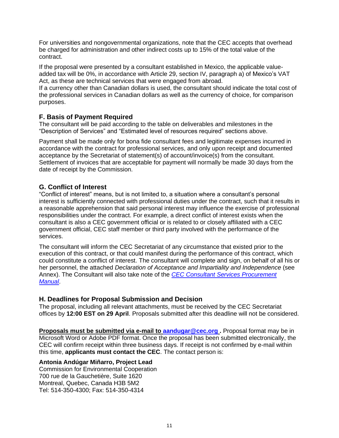For universities and nongovernmental organizations, note that the CEC accepts that overhead be charged for administration and other indirect costs up to 15% of the total value of the contract.

If the proposal were presented by a consultant established in Mexico, the applicable valueadded tax will be 0%, in accordance with Article 29, section IV, paragraph a) of Mexico's VAT Act, as these are technical services that were engaged from abroad.

If a currency other than Canadian dollars is used, the consultant should indicate the total cost of the professional services in Canadian dollars as well as the currency of choice, for comparison purposes.

### **F. Basis of Payment Required**

The consultant will be paid according to the table on deliverables and milestones in the "Description of Services" and "Estimated level of resources required" sections above.

Payment shall be made only for bona fide consultant fees and legitimate expenses incurred in accordance with the contract for professional services, and only upon receipt and documented acceptance by the Secretariat of statement(s) of account/invoice(s) from the consultant. Settlement of invoices that are acceptable for payment will normally be made 30 days from the date of receipt by the Commission.

## **G. Conflict of Interest**

"Conflict of interest" means, but is not limited to, a situation where a consultant's personal interest is sufficiently connected with professional duties under the contract, such that it results in a reasonable apprehension that said personal interest may influence the exercise of professional responsibilities under the contract. For example, a direct conflict of interest exists when the consultant is also a CEC government official or is related to or closely affiliated with a CEC government official, CEC staff member or third party involved with the performance of the services.

The consultant will inform the CEC Secretariat of any circumstance that existed prior to the execution of this contract, or that could manifest during the performance of this contract, which could constitute a conflict of interest. The consultant will complete and sign, on behalf of all his or her personnel, the attached *Declaration of Acceptance and Impartiality and Independence* (see Annex). The Consultant will also take note of the *[CEC Consultant Services Procurement](http://www.cec.org/about-us/opportunities/useful-documents)  [Manual](http://www.cec.org/about-us/opportunities/useful-documents)*.

## **H. Deadlines for Proposal Submission and Decision**

The proposal, including all relevant attachments, must be received by the CEC Secretariat offices by **12:00 EST on 29 April**. Proposals submitted after this deadline will not be considered.

**Proposals must be submitted via e-mail to <b>aandugar@cec.org** . Proposal format may be in Microsoft Word or Adobe PDF format. Once the proposal has been submitted electronically, the CEC will confirm receipt within three business days. If receipt is not confirmed by e-mail within this time, **applicants must contact the CEC**. The contact person is:

#### **Antonia Andúgar Miñarro, Project Lead**

Commission for Environmental Cooperation 700 rue de la Gauchetière, Suite 1620 Montreal, Quebec, Canada H3B 5M2 Tel: 514-350-4300; Fax: 514-350-4314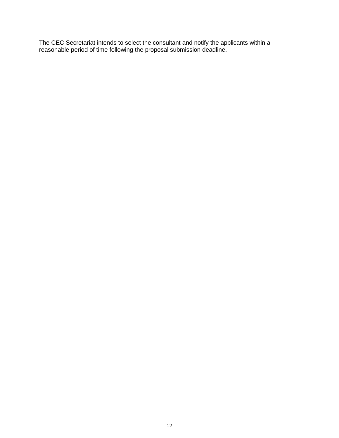The CEC Secretariat intends to select the consultant and notify the applicants within a reasonable period of time following the proposal submission deadline.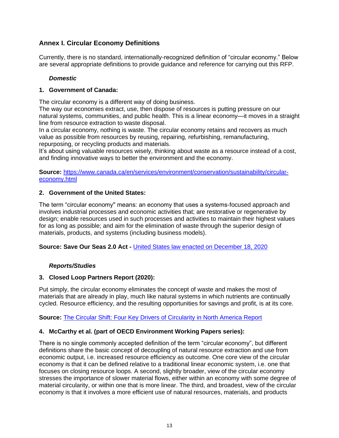## **Annex I. Circular Economy Definitions**

Currently, there is no standard, internationally-recognized definition of "circular economy." Below are several appropriate definitions to provide guidance and reference for carrying out this RFP.

#### *Domestic*

#### **1. Government of Canada:**

The circular economy is a different way of doing business.

The way our economies extract, use, then dispose of resources is putting pressure on our natural systems, communities, and public health. This is a linear economy—it moves in a straight line from resource extraction to waste disposal.

In a circular economy, nothing is waste. The circular economy retains and recovers as much value as possible from resources by reusing, repairing, refurbishing, remanufacturing, repurposing, or recycling products and materials.

It's about using valuable resources wisely, thinking about waste as a resource instead of a cost, and finding innovative ways to better the environment and the economy.

**Source:** [https://www.canada.ca/en/services/environment/conservation/sustainability/circular](https://www.canada.ca/en/services/environment/conservation/sustainability/circular-economy.html)[economy.html](https://www.canada.ca/en/services/environment/conservation/sustainability/circular-economy.html)

#### **2. Government of the United States:**

The term "circular economy'' means: an economy that uses a systems-focused approach and involves industrial processes and economic activities that; are restorative or regenerative by design; enable resources used in such processes and activities to maintain their highest values for as long as possible; and aim for the elimination of waste through the superior design of materials, products, and systems (including business models).

**Source: Save Our Seas 2.0 Act -** [United States law enacted on December 18, 2020](https://www.congress.gov/bill/116th-congress/senate-bill/1982)

#### *Reports/Studies*

#### **3. Closed Loop Partners Report (2020):**

Put simply, the circular economy eliminates the concept of waste and makes the most of materials that are already in play, much like natural systems in which nutrients are continually cycled. Resource efficiency, and the resulting opportunities for savings and profit, is at its core.

**Source:** [The Circular Shift: Four Key Drivers of Circularity in North America Report](https://www.closedlooppartners.com/wp-content/uploads/2021/01/The-Circular-Shift_Closed-Loop-Partners-2020.pdf)

#### **4. McCarthy et al. (part of OECD Environment Working Papers series):**

There is no single commonly accepted definition of the term "circular economy", but different definitions share the basic concept of decoupling of natural resource extraction and use from economic output, i.e. increased resource efficiency as outcome. One core view of the circular economy is that it can be defined relative to a traditional linear economic system, i.e. one that focuses on closing resource loops. A second, slightly broader, view of the circular economy stresses the importance of slower material flows, either within an economy with some degree of material circularity, or within one that is more linear. The third, and broadest, view of the circular economy is that it involves a more efficient use of natural resources, materials, and products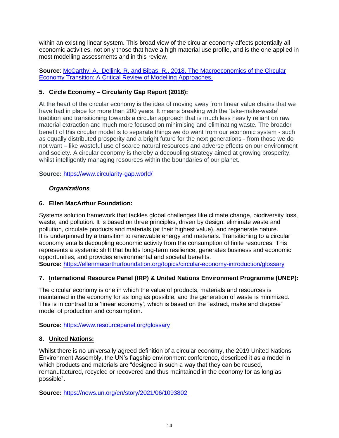within an existing linear system. This broad view of the circular economy affects potentially all economic activities, not only those that have a high material use profile, and is the one applied in most modelling assessments and in this review.

**Source**: [McCarthy, A., Dellink, R. and Bibas, R., 2018. The Macroeconomics of the Circular](https://www.oecd-ilibrary.org/content/paper/af983f9a-en?crawler=true&mimetype=application/pdfhttps://www.oecd-ilibrary.org/content/paper/af983f9a-en?crawler=true&mimetype=application/pdf)  Economy Transition: A Critical Review of Modelling Approaches.

## **5. Circle Economy – Circularity Gap Report (2018):**

At the heart of the circular economy is the idea of moving away from linear value chains that we have had in place for more than 200 years. It means breaking with the 'take-make-waste' tradition and transitioning towards a circular approach that is much less heavily reliant on raw material extraction and much more focused on minimising and eliminating waste. The broader benefit of this circular model is to separate things we do want from our economic system - such as equally distributed prosperity and a bright future for the next generations - from those we do not want – like wasteful use of scarce natural resources and adverse effects on our environment and society. A circular economy is thereby a decoupling strategy aimed at growing prosperity, whilst intelligently managing resources within the boundaries of our planet.

**Source:** <https://www.circularity-gap.world/>

#### *Organizations*

#### **6. Ellen MacArthur Foundation:**

Systems solution framework that tackles global challenges like climate change, biodiversity loss, waste, and pollution. It is based on three principles, driven by design: eliminate waste and pollution, circulate products and materials (at their highest value), and regenerate nature. It is underpinned by a transition to renewable energy and materials. Transitioning to a circular economy entails decoupling economic activity from the consumption of finite resources. This represents a systemic shift that builds long-term resilience, generates business and economic opportunities, and provides environmental and societal benefits.

**Source:** <https://ellenmacarthurfoundation.org/topics/circular-economy-introduction/glossary>

#### **7. International Resource Panel (IRP) & United Nations Environment Programme (UNEP):**

The circular economy is one in which the value of products, materials and resources is maintained in the economy for as long as possible, and the generation of waste is minimized. This is in contrast to a 'linear economy', which is based on the "extract, make and dispose" model of production and consumption.

**Source:** <https://www.resourcepanel.org/glossary>

#### **8. United Nations:**

Whilst there is no universally agreed definition of a circular economy, the 2019 United Nations Environment Assembly, the UN's flagship environment conference, described it as a model in which products and materials are "designed in such a way that they can be reused, remanufactured, recycled or recovered and thus maintained in the economy for as long as possible".

**Source:** <https://news.un.org/en/story/2021/06/1093802>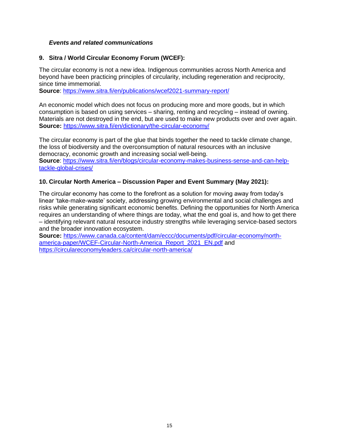### *Events and related communications*

#### **9. Sitra / World Circular Economy Forum (WCEF):**

The circular economy is not a new idea. Indigenous communities across North America and beyond have been practicing principles of circularity, including regeneration and reciprocity, since time immemorial.

**Source**:<https://www.sitra.fi/en/publications/wcef2021-summary-report/>

An economic model which does not focus on producing more and more goods, but in which consumption is based on using services – sharing, renting and recycling – instead of owning. Materials are not destroyed in the end, but are used to make new products over and over again. **Source:** <https://www.sitra.fi/en/dictionary/the-circular-economy/>

The circular economy is part of the glue that binds together the need to tackle climate change, the loss of biodiversity and the overconsumption of natural resources with an inclusive democracy, economic growth and increasing social well-being.

**Source**: [https://www.sitra.fi/en/blogs/circular-economy-makes-business-sense-and-can-help](https://www.sitra.fi/en/blogs/circular-economy-makes-business-sense-and-can-help-tackle-global-crises/)[tackle-global-crises/](https://www.sitra.fi/en/blogs/circular-economy-makes-business-sense-and-can-help-tackle-global-crises/)

#### **10. Circular North America – Discussion Paper and Event Summary (May 2021):**

The circular economy has come to the forefront as a solution for moving away from today's linear 'take-make-waste' society, addressing growing environmental and social challenges and risks while generating significant economic benefits. Defining the opportunities for North America requires an understanding of where things are today, what the end goal is, and how to get there – identifying relevant natural resource industry strengths while leveraging service-based sectors and the broader innovation ecosystem.

**Source:** [https://www.canada.ca/content/dam/eccc/documents/pdf/circular-economy/north](https://www.canada.ca/content/dam/eccc/documents/pdf/circular-economy/north-america-paper/WCEF-Circular-North-America_Report_2021_EN.pdf)[america-paper/WCEF-Circular-North-America\\_Report\\_2021\\_EN.pdf](https://www.canada.ca/content/dam/eccc/documents/pdf/circular-economy/north-america-paper/WCEF-Circular-North-America_Report_2021_EN.pdf) and <https://circulareconomyleaders.ca/circular-north-america/>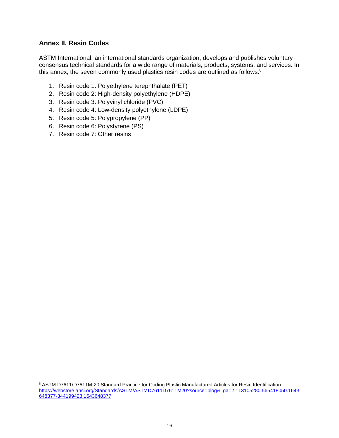## **Annex II. Resin Codes**

ASTM International, an international standards organization, develops and publishes voluntary consensus technical standards for a wide range of materials, products, systems, and services. In this annex, the seven commonly used plastics resin codes are outlined as follows:<sup>8</sup>

- 1. Resin code 1: Polyethylene terephthalate (PET)
- 2. Resin code 2: High-density polyethylene (HDPE)
- 3. Resin code 3: Polyvinyl chloride (PVC)
- 4. Resin code 4: Low-density polyethylene (LDPE)
- 5. Resin code 5: Polypropylene (PP)
- 6. Resin code 6: Polystyrene (PS)
- 7. Resin code 7: Other resins

<sup>8</sup> ASTM D7611/D7611M-20 Standard Practice for Coding Plastic Manufactured Articles for Resin Identification [https://webstore.ansi.org/Standards/ASTM/ASTMD7611D7611M20?source=blog&\\_ga=2.113105280.565418050.1643](https://webstore.ansi.org/Standards/ASTM/ASTMD7611D7611M20?source=blog&_ga=2.113105280.565418050.1643648377-344199423.1643648377) [648377-344199423.1643648377](https://webstore.ansi.org/Standards/ASTM/ASTMD7611D7611M20?source=blog&_ga=2.113105280.565418050.1643648377-344199423.1643648377)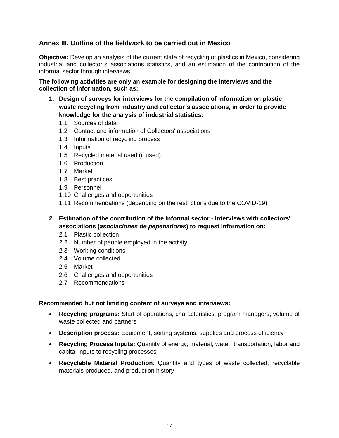## **Annex III. Outline of the fieldwork to be carried out in Mexico**

**Objective:** Develop an analysis of the current state of recycling of plastics in Mexico, considering industrial and collector´s associations statistics, and an estimation of the contribution of the informal sector through interviews.

**The following activities are only an example for designing the interviews and the collection of information, such as:**

- **1. Design of surveys for interviews for the compilation of information on plastic waste recycling from industry and collector´s associations, in order to provide knowledge for the analysis of industrial statistics:**
	- 1.1 Sources of data
	- 1.2 Contact and information of Collectors' associations
	- 1.3 Information of recycling process
	- 1.4 Inputs
	- 1.5 Recycled material used (if used)
	- 1.6 Production
	- 1.7 Market
	- 1.8 Best practices
	- 1.9 Personnel
	- 1.10 Challenges and opportunities
	- 1.11 Recommendations (depending on the restrictions due to the COVID-19)
- **2. Estimation of the contribution of the informal sector - Interviews with collectors' associations (***asociaciones de pepenadores***) to request information on:**
	- 2.1 Plastic collection
	- 2.2 Number of people employed in the activity
	- 2.3 Working conditions
	- 2.4 Volume collected
	- 2.5 Market
	- 2.6 Challenges and opportunities
	- 2.7 Recommendations

#### **Recommended but not limiting content of surveys and interviews:**

- **Recycling programs:** Start of operations, characteristics, program managers, volume of waste collected and partners
- **Description process:** Equipment, sorting systems, supplies and process efficiency
- **Recycling Process Inputs:** Quantity of energy, material, water, transportation, labor and capital inputs to recycling processes
- **Recyclable Material Production**: Quantity and types of waste collected, recyclable materials produced, and production history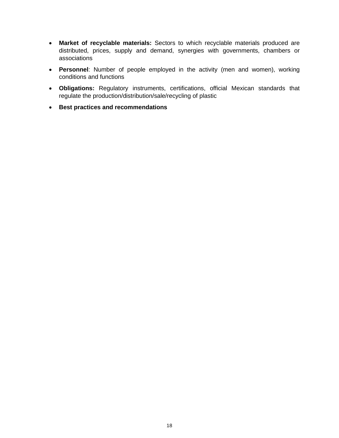- **Market of recyclable materials:** Sectors to which recyclable materials produced are distributed, prices, supply and demand, synergies with governments, chambers or associations
- **Personnel**: Number of people employed in the activity (men and women), working conditions and functions
- **Obligations:** Regulatory instruments, certifications, official Mexican standards that regulate the production/distribution/sale/recycling of plastic
- **Best practices and recommendations**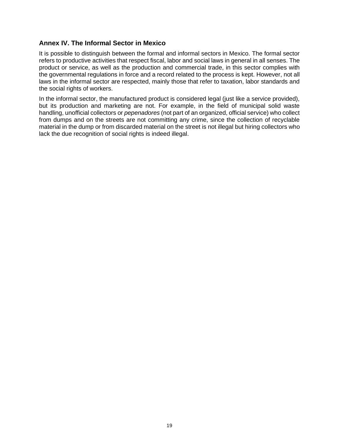## **Annex IV. The Informal Sector in Mexico**

It is possible to distinguish between the formal and informal sectors in Mexico. The formal sector refers to productive activities that respect fiscal, labor and social laws in general in all senses. The product or service, as well as the production and commercial trade, in this sector complies with the governmental regulations in force and a record related to the process is kept. However, not all laws in the informal sector are respected, mainly those that refer to taxation, labor standards and the social rights of workers.

In the informal sector, the manufactured product is considered legal (just like a service provided), but its production and marketing are not. For example, in the field of municipal solid waste handling, unofficial collectors or *pepenadores* (not part of an organized, official service) who collect from dumps and on the streets are not committing any crime, since the collection of recyclable material in the dump or from discarded material on the street is not illegal but hiring collectors who lack the due recognition of social rights is indeed illegal.